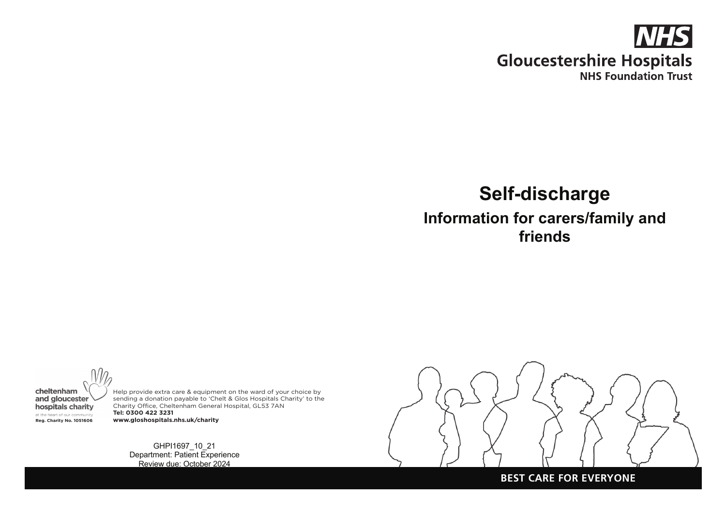

# **Self-discharge**

**Information for carers/family and friends**

cheltenham and gloucester hospitals charity at the heart of our community

Help provide extra care & equipment on the ward of your choice by sending a donation payable to 'Chelt & Glos Hospitals Charity' to the Charity Office, Cheltenham General Hospital, GL53 7AN **Tel: 0300 422 3231 Reg. Charity No. 1051606 www.gloshospitals.nhs.uk/charity**

> GHPI1697\_10\_21 Department: Patient Experience Review due: October 2024



#### **BEST CARE FOR EVERYONE**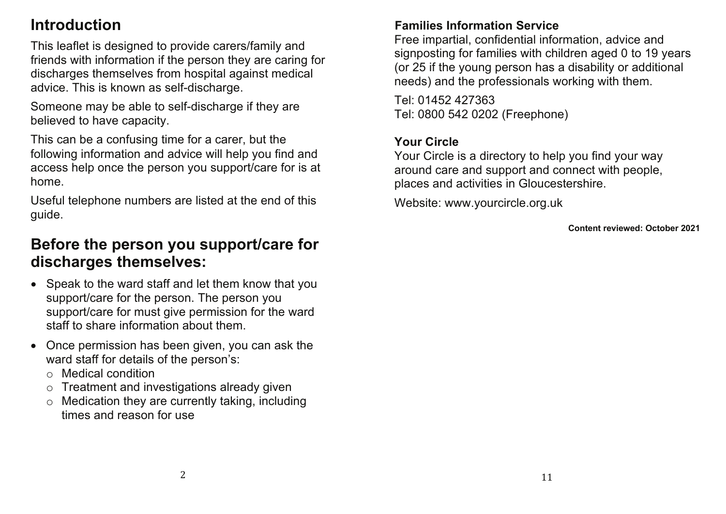## **Introduction**

This leaflet is designed to provide carers/family and friends with information if the person they are caring for discharges themselves from hospital against medical advice. This is known as self-discharge.

Someone may be able to self-discharge if they are believed to have capacity.

This can be a confusing time for a carer, but the following information and advice will help you find and access help once the person you support/care for is at home.

Useful telephone numbers are listed at the end of this guide.

## **Before the person you support/care for discharges themselves:**

- Speak to the ward staff and let them know that you support/care for the person. The person you support/care for must give permission for the ward staff to share information about them.
- Once permission has been given, you can ask the ward staff for details of the person's:
	- o Medical condition
	- o Treatment and investigations already given
	- o Medication they are currently taking, including times and reason for use

### **Families Information Service**

Free impartial, confidential information, advice and signposting for families with children aged 0 to 19 years (or 25 if the young person has a disability or additional needs) and the professionals working with them.

Tel: 01452 427363 Tel: 0800 542 0202 (Freephone)

### **Your Circle**

Your Circle is a directory to help you find your way around care and support and connect with people, places and activities in Gloucestershire.

Website: www.yourcircle.org.uk

**Content reviewed: October 2021**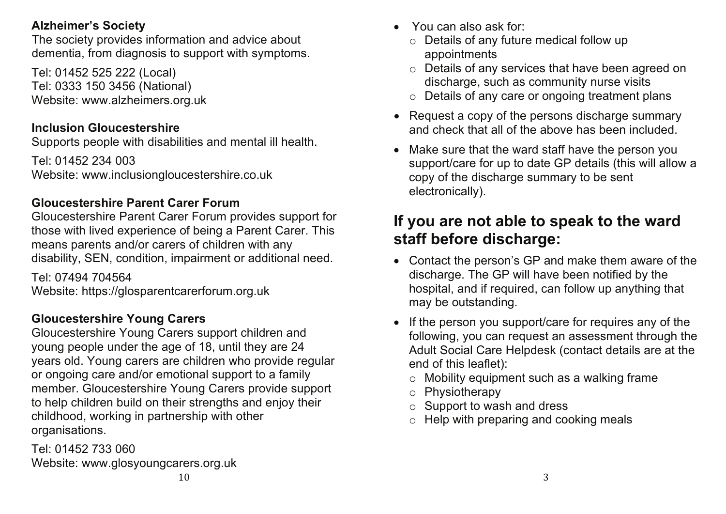### **Alzheimer's Society**

The society provides information and advice about dementia, from diagnosis to support with symptoms.

Tel: 01452 525 222 (Local) Tel: 0333 150 3456 (National) Website: www.alzheimers.org.uk

## **Inclusion Gloucestershire**

Supports people with disabilities and mental ill health.

Tel: 01452 234 003 Website: www.inclusiongloucestershire.co.uk

## **Gloucestershire Parent Carer Forum**

Gloucestershire Parent Carer Forum provides support for those with lived experience of being a Parent Carer. This means parents and/or carers of children with any disability, SEN, condition, impairment or additional need.

Tel: 07494 704564 Website: https://glosparentcarerforum.org.uk

## **Gloucestershire Young Carers**

Gloucestershire Young Carers support children and young people under the age of 18, until they are 24 years old. Young carers are children who provide regular or ongoing care and/or emotional support to a family member. Gloucestershire Young Carers provide support to help children build on their strengths and enjoy their childhood, working in partnership with other organisations.

Tel: 01452 733 060 Website: www.glosyoungcarers.org.uk

- You can also ask for:
	- o Details of any future medical follow up appointments
	- o Details of any services that have been agreed on discharge, such as community nurse visits
	- o Details of any care or ongoing treatment plans
- Request a copy of the persons discharge summary and check that all of the above has been included.
- Make sure that the ward staff have the person you support/care for up to date GP details (this will allow a copy of the discharge summary to be sent electronically).

## **If you are not able to speak to the ward staff before discharge:**

- Contact the person's GP and make them aware of the discharge. The GP will have been notified by the hospital, and if required, can follow up anything that may be outstanding.
- If the person you support/care for requires any of the following, you can request an assessment through the Adult Social Care Helpdesk (contact details are at the end of this leaflet):
	- o Mobility equipment such as a walking frame
	- o Physiotherapy
	- o Support to wash and dress
	- $\circ$  Help with preparing and cooking meals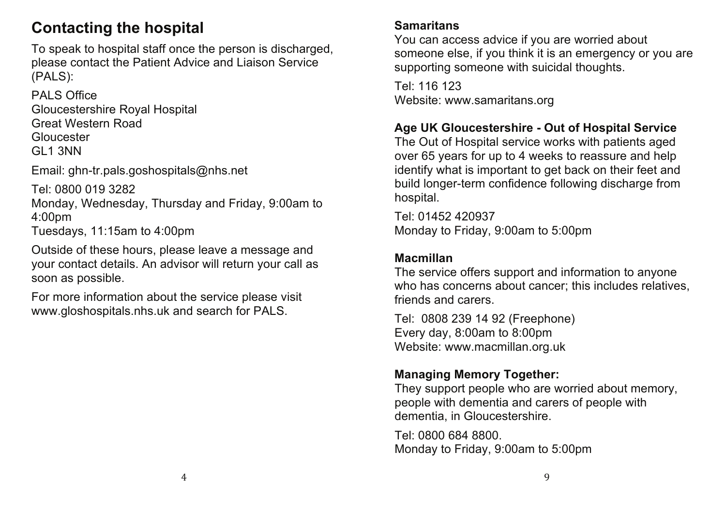## **Contacting the hospital**

To speak to hospital staff once the person is discharged, please contact the Patient Advice and Liaison Service (PALS):

PALS Office Gloucestershire Royal Hospital Great Western Road **Gloucester** GL1 3NN

Email: ghn-tr.pals.goshospitals@nhs.net

Tel: 0800 019 3282

Monday, Wednesday, Thursday and Friday, 9:00am to 4:00pm Tuesdays, 11:15am to 4:00pm

Outside of these hours, please leave a message and your contact details. An advisor will return your call as soon as possible.

For more information about the service please visit www.gloshospitals.nhs.uk and search for PALS.

### **Samaritans**

You can access advice if you are worried about someone else, if you think it is an emergency or you are supporting someone with suicidal thoughts.

Tel: 116 123 Website: www.samaritans.org

## **Age UK Gloucestershire - Out of Hospital Service**

The Out of Hospital service works with patients aged over 65 years for up to 4 weeks to reassure and help identify what is important to get back on their feet and build longer-term confidence following discharge from hospital.

Tel: 01452 420937 Monday to Friday, 9:00am to 5:00pm

### **Macmillan**

The service offers support and information to anyone who has concerns about cancer; this includes relatives, friends and carers.

Tel: 0808 239 14 92 (Freephone) Every day, 8:00am to 8:00pm Website: www.macmillan.org.uk

## **Managing Memory Together:**

They support people who are worried about memory, people with dementia and carers of people with dementia, in Gloucestershire.

Tel: 0800 684 8800. Monday to Friday, 9:00am to 5:00pm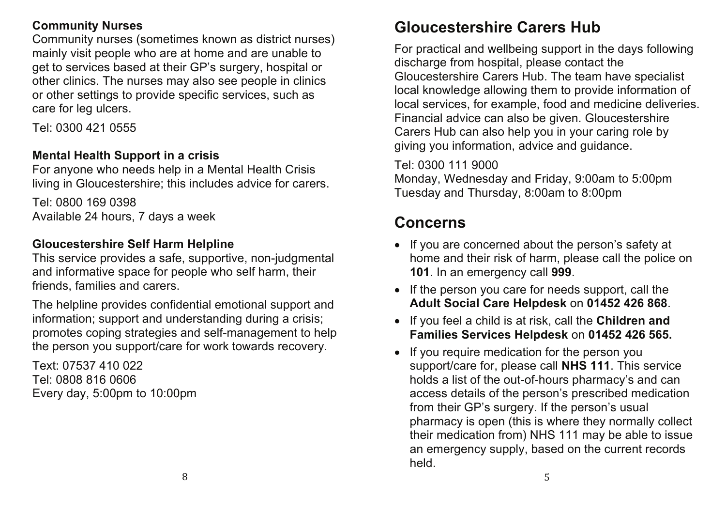### **Community Nurses**

Community nurses (sometimes known as district nurses) mainly visit people who are at home and are unable to get to services based at their GP's surgery, hospital or other clinics. The nurses may also see people in clinics or other settings to provide specific services, such as care for leg ulcers.

Tel: 0300 421 0555

### **Mental Health Support in a crisis**

For anyone who needs help in a Mental Health Crisis living in Gloucestershire; this includes advice for carers.

Tel: 0800 169 0398 Available 24 hours, 7 days a week

### **Gloucestershire Self Harm Helpline**

This service provides a safe, supportive, non-judgmental and informative space for people who self harm, their friends, families and carers.

The helpline provides confidential emotional support and information; support and understanding during a crisis; promotes coping strategies and self-management to help the person you support/care for work towards recovery.

Text: 07537 410 022 Tel: 0808 816 0606 Every day, 5:00pm to 10:00pm

## **Gloucestershire Carers Hub**

For practical and wellbeing support in the days following discharge from hospital, please contact the Gloucestershire Carers Hub. The team have specialist local knowledge allowing them to provide information of local services, for example, food and medicine deliveries. Financial advice can also be given. Gloucestershire Carers Hub can also help you in your caring role by giving you information, advice and guidance.

### Tel: 0300 111 9000

Monday, Wednesday and Friday, 9:00am to 5:00pm Tuesday and Thursday, 8:00am to 8:00pm

## **Concerns**

- If you are concerned about the person's safety at home and their risk of harm, please call the police on **101**. In an emergency call **999**.
- If the person you care for needs support, call the **Adult Social Care Helpdesk** on **01452 426 868**.
- If you feel a child is at risk, call the **Children and Families Services Helpdesk** on **01452 426 565.**
- If you require medication for the person you support/care for, please call **NHS 111**. This service holds a list of the out-of-hours pharmacy's and can access details of the person's prescribed medication from their GP's surgery. If the person's usual pharmacy is open (this is where they normally collect their medication from) NHS 111 may be able to issue an emergency supply, based on the current records held.